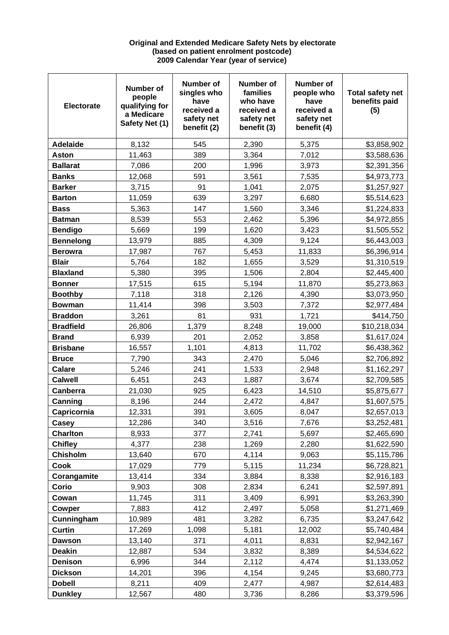## **Original and Extended Medicare Safety Nets by electorate (based on patient enrolment postcode) 2009 Calendar Year (year of service)**

| <b>Electorate</b> | Number of<br>people<br>qualifying for<br>a Medicare<br>Safety Net (1) | Number of<br>singles who<br>have<br>received a<br>safety net<br>benefit (2) | <b>Number of</b><br>families<br>who have<br>received a<br>safety net<br>benefit (3) | <b>Number of</b><br>people who<br>have<br>received a<br>safety net<br>benefit (4) | <b>Total safety net</b><br>benefits paid<br>(5) |
|-------------------|-----------------------------------------------------------------------|-----------------------------------------------------------------------------|-------------------------------------------------------------------------------------|-----------------------------------------------------------------------------------|-------------------------------------------------|
| <b>Adelaide</b>   | 8,132                                                                 | 545                                                                         | 2,390                                                                               | 5,375                                                                             | \$3,858,902                                     |
| <b>Aston</b>      | 11,463                                                                | 389                                                                         | 3,364                                                                               | 7,012                                                                             | \$3,588,636                                     |
| <b>Ballarat</b>   | 7,086                                                                 | 200                                                                         | 1,996                                                                               | 3,973                                                                             | \$2,391,356                                     |
| <b>Banks</b>      | 12,068                                                                | 591                                                                         | 3,561                                                                               | 7,535                                                                             | \$4,973,773                                     |
| <b>Barker</b>     | 3,715                                                                 | 91                                                                          | 1,041                                                                               | 2,075                                                                             | \$1,257,927                                     |
| <b>Barton</b>     | 11,059                                                                | 639                                                                         | 3,297                                                                               | 6,680                                                                             | \$5,514,623                                     |
| <b>Bass</b>       | 5,363                                                                 | 147                                                                         | 1,560                                                                               | 3,346                                                                             | \$1,224,833                                     |
| <b>Batman</b>     | 8,539                                                                 | 553                                                                         | 2,462                                                                               | 5,396                                                                             | \$4,972,855                                     |
| <b>Bendigo</b>    | 5,669                                                                 | 199                                                                         | 1,620                                                                               | 3,423                                                                             | \$1,505,552                                     |
| <b>Bennelong</b>  | 13,979                                                                | 885                                                                         | 4,309                                                                               | 9,124                                                                             | \$6,443,003                                     |
| <b>Berowra</b>    | 17,987                                                                | 767                                                                         | 5,453                                                                               | 11,833                                                                            | \$6,396,914                                     |
| <b>Blair</b>      | 5,764                                                                 | 182                                                                         | 1,655                                                                               | 3,529                                                                             | \$1,310,519                                     |
| <b>Blaxland</b>   | 5,380                                                                 | 395                                                                         | 1,506                                                                               | 2,804                                                                             | \$2,445,400                                     |
| <b>Bonner</b>     | 17,515                                                                | 615                                                                         | 5,194                                                                               | 11,870                                                                            | \$5,273,863                                     |
| <b>Boothby</b>    | 7,118                                                                 | 318                                                                         | 2,126                                                                               | 4,390                                                                             | \$3,073,950                                     |
| <b>Bowman</b>     | 11,414                                                                | 398                                                                         | 3,503                                                                               | 7,372                                                                             | \$2,977,484                                     |
| <b>Braddon</b>    | 3,261                                                                 | 81                                                                          | 931                                                                                 | 1,721                                                                             | \$414,750                                       |
| <b>Bradfield</b>  | 26,806                                                                | 1,379                                                                       | 8,248                                                                               | 19,000                                                                            | \$10,218,034                                    |
| <b>Brand</b>      | 6,939                                                                 | 201                                                                         | 2,052                                                                               | 3,858                                                                             | \$1,617,024                                     |
| <b>Brisbane</b>   | 16,557                                                                | 1,101                                                                       | 4,813                                                                               | 11,702                                                                            | \$6,438,362                                     |
| <b>Bruce</b>      | 7,790                                                                 | 343                                                                         | 2,470                                                                               | 5,046                                                                             | \$2,706,892                                     |
| <b>Calare</b>     | 5,246                                                                 | 241                                                                         | 1,533                                                                               | 2,948                                                                             | \$1,162,297                                     |
| <b>Calwell</b>    | 6,451                                                                 | 243                                                                         | 1,887                                                                               | 3,674                                                                             | \$2,709,585                                     |
| Canberra          | 21,030                                                                | 925                                                                         | 6,423                                                                               | 14,510                                                                            | \$5,875,677                                     |
| Canning           | 8,196                                                                 | 244                                                                         | 2,472                                                                               | 4,847                                                                             | \$1,607,575                                     |
| Capricornia       | 12,331                                                                | 391                                                                         | 3,605                                                                               | 8,047                                                                             | \$2,657,013                                     |
| Casey             | 12,286                                                                | 340                                                                         | 3,516                                                                               | 7,676                                                                             | \$3,252,481                                     |
| <b>Charlton</b>   | 8,933                                                                 | 377                                                                         | 2,741                                                                               | 5,697                                                                             | \$2,465,690                                     |
| <b>Chifley</b>    | 4,377                                                                 | 238                                                                         | 1,269                                                                               | 2,280                                                                             | \$1,622,590                                     |
| <b>Chisholm</b>   | 13,640                                                                | 670                                                                         | 4,114                                                                               | 9,063                                                                             | \$5,115,786                                     |
| <b>Cook</b>       | 17,029                                                                | 779                                                                         | 5,115                                                                               | 11,234                                                                            | \$6,728,821                                     |
| Corangamite       | 13,414                                                                | 334                                                                         | 3,884                                                                               | 8,338                                                                             | \$2,916,183                                     |
| Corio             | 9,903                                                                 | 308                                                                         | 2,834                                                                               | 6,241                                                                             | \$2,597,891                                     |
| Cowan             | 11,745                                                                | 311                                                                         | 3,409                                                                               | 6,991                                                                             | \$3,263,390                                     |
| Cowper            | 7,883                                                                 | 412                                                                         | 2,497                                                                               | 5,058                                                                             | \$1,271,469                                     |
| Cunningham        | 10,989                                                                | 481                                                                         | 3,282                                                                               | 6,735                                                                             | \$3,247,642                                     |
| <b>Curtin</b>     | 17,269                                                                | 1,098                                                                       | 5,181                                                                               | 12,002                                                                            | \$5,740,484                                     |
| Dawson            | 13,140                                                                | 371                                                                         | 4,011                                                                               | 8,831                                                                             | \$2,942,167                                     |
| <b>Deakin</b>     | 12,887                                                                | 534                                                                         | 3,832                                                                               | 8,389                                                                             | \$4,534,622                                     |
| <b>Denison</b>    | 6,996                                                                 | 344                                                                         | 2,112                                                                               | 4,474                                                                             | \$1,133,052                                     |
| <b>Dickson</b>    | 14,201                                                                | 396                                                                         | 4,154                                                                               | 9,245                                                                             | \$3,680,773                                     |
| <b>Dobell</b>     | 8,211                                                                 | 409                                                                         | 2,477                                                                               | 4,987                                                                             | \$2,614,483                                     |
| <b>Dunkley</b>    | 12,567                                                                | 480                                                                         | 3,736                                                                               | 8,286                                                                             | \$3,379,596                                     |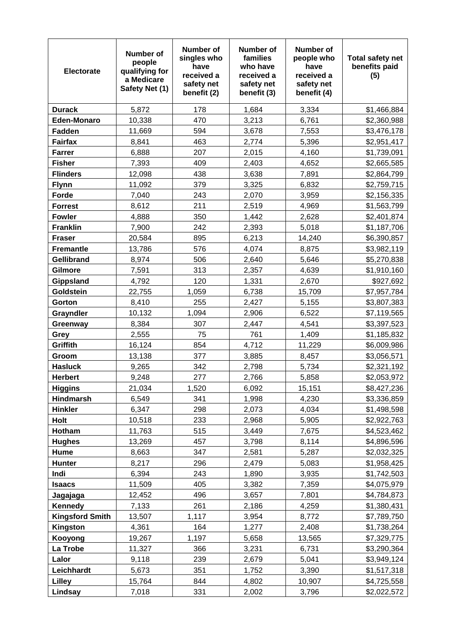| <b>Electorate</b>      | Number of<br>people<br>qualifying for<br>a Medicare<br>Safety Net (1) | Number of<br>singles who<br>have<br>received a<br>safety net<br>benefit (2) | Number of<br>families<br>who have<br>received a<br>safety net<br>benefit (3) | <b>Number of</b><br>people who<br>have<br>received a<br>safety net<br>benefit (4) | <b>Total safety net</b><br>benefits paid<br>(5) |
|------------------------|-----------------------------------------------------------------------|-----------------------------------------------------------------------------|------------------------------------------------------------------------------|-----------------------------------------------------------------------------------|-------------------------------------------------|
| <b>Durack</b>          | 5,872                                                                 | 178                                                                         | 1,684                                                                        | 3,334                                                                             | \$1,466,884                                     |
| <b>Eden-Monaro</b>     | 10,338                                                                | 470                                                                         | 3,213                                                                        | 6,761                                                                             | \$2,360,988                                     |
| <b>Fadden</b>          | 11,669                                                                | 594                                                                         | 3,678                                                                        | 7,553                                                                             | \$3,476,178                                     |
| <b>Fairfax</b>         | 8,841                                                                 | 463                                                                         | 2,774                                                                        | 5,396                                                                             | \$2,951,417                                     |
| <b>Farrer</b>          | 6,888                                                                 | 207                                                                         | 2,015                                                                        | 4,160                                                                             | \$1,739,091                                     |
| <b>Fisher</b>          | 7,393                                                                 | 409                                                                         | 2,403                                                                        | 4,652                                                                             | \$2,665,585                                     |
| <b>Flinders</b>        | 12,098                                                                | 438                                                                         | 3,638                                                                        | 7,891                                                                             | \$2,864,799                                     |
| <b>Flynn</b>           | 11,092                                                                | 379                                                                         | 3,325                                                                        | 6,832                                                                             | \$2,759,715                                     |
| Forde                  | 7,040                                                                 | 243                                                                         | 2,070                                                                        | 3,959                                                                             | \$2,156,335                                     |
| <b>Forrest</b>         | 8,612                                                                 | 211                                                                         | 2,519                                                                        | 4,969                                                                             | \$1,563,799                                     |
| <b>Fowler</b>          | 4,888                                                                 | 350                                                                         | 1,442                                                                        | 2,628                                                                             | \$2,401,874                                     |
| <b>Franklin</b>        | 7,900                                                                 | 242                                                                         | 2,393                                                                        | 5,018                                                                             | \$1,187,706                                     |
| <b>Fraser</b>          | 20,584                                                                | 895                                                                         | 6,213                                                                        | 14,240                                                                            | \$6,390,857                                     |
| <b>Fremantle</b>       | 13,786                                                                | 576                                                                         | 4,074                                                                        | 8,875                                                                             | \$3,982,119                                     |
| <b>Gellibrand</b>      | 8,974                                                                 | 506                                                                         | 2,640                                                                        | 5,646                                                                             | \$5,270,838                                     |
| Gilmore                | 7,591                                                                 | 313                                                                         | 2,357                                                                        | 4,639                                                                             | \$1,910,160                                     |
| Gippsland              | 4,792                                                                 | 120                                                                         | 1,331                                                                        | 2,670                                                                             | \$927,692                                       |
| Goldstein              | 22,755                                                                | 1,059                                                                       | 6,738                                                                        | 15,709                                                                            | \$7,957,784                                     |
| Gorton                 | 8,410                                                                 | 255                                                                         | 2,427                                                                        | 5,155                                                                             | \$3,807,383                                     |
| Grayndler              | 10,132                                                                | 1,094                                                                       | 2,906                                                                        | 6,522                                                                             | \$7,119,565                                     |
| Greenway               | 8,384                                                                 | 307                                                                         | 2,447                                                                        | 4,541                                                                             | \$3,397,523                                     |
| Grey                   | 2,555                                                                 | 75                                                                          | 761                                                                          | 1,409                                                                             | \$1,185,832                                     |
| Griffith               | 16,124                                                                | 854                                                                         | 4,712                                                                        | 11,229                                                                            | \$6,009,986                                     |
| Groom                  | 13,138                                                                | 377                                                                         | 3,885                                                                        | 8,457                                                                             | \$3,056,571                                     |
| <b>Hasluck</b>         | 9,265                                                                 | 342                                                                         | 2,798                                                                        | 5,734                                                                             | \$2,321,192                                     |
| <b>Herbert</b>         | 9,248                                                                 | 277                                                                         | 2,766                                                                        | 5,858                                                                             | \$2,053,972                                     |
| <b>Higgins</b>         | 21,034                                                                | 1,520                                                                       | 6,092                                                                        | 15,151                                                                            | \$8,427,236                                     |
| <b>Hindmarsh</b>       | 6,549                                                                 | 341                                                                         | 1,998                                                                        | 4,230                                                                             | \$3,336,859                                     |
| <b>Hinkler</b>         | 6,347                                                                 | 298                                                                         | 2,073                                                                        | 4,034                                                                             | \$1,498,598                                     |
| <b>Holt</b>            | 10,518                                                                | 233                                                                         | 2,968                                                                        | 5,905                                                                             | \$2,922,763                                     |
| Hotham                 | 11,763                                                                | 515                                                                         | 3,449                                                                        | 7,675                                                                             | \$4,523,462                                     |
| <b>Hughes</b>          | 13,269                                                                | 457                                                                         | 3,798                                                                        | 8,114                                                                             | \$4,896,596                                     |
| Hume                   | 8,663                                                                 | 347                                                                         | 2,581                                                                        | 5,287                                                                             | \$2,032,325                                     |
| <b>Hunter</b>          | 8,217                                                                 | 296                                                                         | 2,479                                                                        | 5,083                                                                             | \$1,958,425                                     |
| Indi                   | 6,394                                                                 | 243                                                                         | 1,890                                                                        | 3,935                                                                             | \$1,742,503                                     |
| <b>Isaacs</b>          | 11,509                                                                | 405                                                                         | 3,382                                                                        | 7,359                                                                             | \$4,075,979                                     |
| Jagajaga               | 12,452                                                                | 496                                                                         | 3,657                                                                        | 7,801                                                                             | \$4,784,873                                     |
| Kennedy                | 7,133                                                                 | 261                                                                         | 2,186                                                                        | 4,259                                                                             | \$1,380,431                                     |
| <b>Kingsford Smith</b> | 13,507                                                                | 1,117                                                                       | 3,954                                                                        | 8,772                                                                             | \$7,789,750                                     |
| Kingston               | 4,361                                                                 | 164<br>1,197                                                                | 1,277                                                                        | 2,408                                                                             | \$1,738,264                                     |
| Kooyong<br>La Trobe    | 19,267<br>11,327                                                      | 366                                                                         | 5,658<br>3,231                                                               | 13,565                                                                            | \$7,329,775                                     |
| Lalor                  | 9,118                                                                 | 239                                                                         | 2,679                                                                        | 6,731<br>5,041                                                                    | \$3,290,364<br>\$3,949,124                      |
| Leichhardt             | 5,673                                                                 | 351                                                                         | 1,752                                                                        | 3,390                                                                             | \$1,517,318                                     |
| Lilley                 | 15,764                                                                | 844                                                                         | 4,802                                                                        | 10,907                                                                            | \$4,725,558                                     |
| Lindsay                | 7,018                                                                 | 331                                                                         | 2,002                                                                        | 3,796                                                                             | \$2,022,572                                     |
|                        |                                                                       |                                                                             |                                                                              |                                                                                   |                                                 |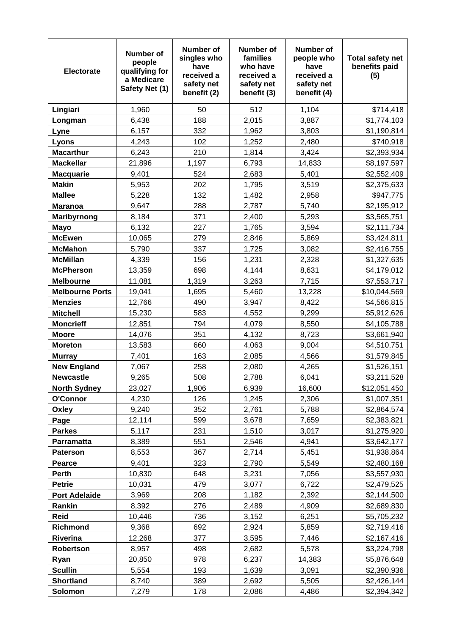| <b>Electorate</b>           | Number of<br>people<br>qualifying for<br>a Medicare<br>Safety Net (1) | Number of<br>singles who<br>have<br>received a<br>safety net<br>benefit (2) | <b>Number of</b><br>families<br>who have<br>received a<br>safety net<br>benefit (3) | <b>Number of</b><br>people who<br>have<br>received a<br>safety net<br>benefit (4) | <b>Total safety net</b><br>benefits paid<br>(5) |
|-----------------------------|-----------------------------------------------------------------------|-----------------------------------------------------------------------------|-------------------------------------------------------------------------------------|-----------------------------------------------------------------------------------|-------------------------------------------------|
| Lingiari                    | 1,960                                                                 | 50                                                                          | 512                                                                                 | 1,104                                                                             | \$714,418                                       |
| Longman                     | 6,438                                                                 | 188                                                                         | 2,015                                                                               | 3,887                                                                             | \$1,774,103                                     |
| Lyne                        | 6,157                                                                 | 332                                                                         | 1,962                                                                               | 3,803                                                                             | \$1,190,814                                     |
| Lyons                       | 4,243                                                                 | 102                                                                         | 1,252                                                                               | 2,480                                                                             | \$740,918                                       |
| <b>Macarthur</b>            | 6,243                                                                 | 210                                                                         | 1,814                                                                               | 3,424                                                                             | \$2,393,934                                     |
| <b>Mackellar</b>            | 21,896                                                                | 1,197                                                                       | 6,793                                                                               | 14,833                                                                            | \$8,197,597                                     |
| <b>Macquarie</b>            | 9,401                                                                 | 524                                                                         | 2,683                                                                               | 5,401                                                                             | \$2,552,409                                     |
| <b>Makin</b>                | 5,953                                                                 | 202                                                                         | 1,795                                                                               | 3,519                                                                             | \$2,375,633                                     |
| <b>Mallee</b>               | 5,228                                                                 | 132                                                                         | 1,482                                                                               | 2,958                                                                             | \$947,775                                       |
| <b>Maranoa</b>              | 9,647                                                                 | 288                                                                         | 2,787                                                                               | 5,740                                                                             | \$2,195,912                                     |
| Maribyrnong                 | 8,184                                                                 | 371                                                                         | 2,400                                                                               | 5,293                                                                             | \$3,565,751                                     |
| <b>Mayo</b>                 | 6,132                                                                 | 227                                                                         | 1,765                                                                               | 3,594                                                                             | \$2,111,734                                     |
| <b>McEwen</b>               | 10,065                                                                | 279                                                                         | 2,846                                                                               | 5,869                                                                             | \$3,424,811                                     |
| <b>McMahon</b>              | 5,790                                                                 | 337                                                                         | 1,725                                                                               | 3,082                                                                             | \$2,416,755                                     |
| <b>McMillan</b>             | 4,339                                                                 | 156                                                                         | 1,231                                                                               | 2,328                                                                             | \$1,327,635                                     |
| <b>McPherson</b>            | 13,359                                                                | 698                                                                         | 4,144                                                                               | 8,631                                                                             | \$4,179,012                                     |
| <b>Melbourne</b>            | 11,081                                                                | 1,319                                                                       | 3,263                                                                               | 7,715                                                                             | \$7,553,717                                     |
| <b>Melbourne Ports</b>      | 19,041                                                                | 1,695                                                                       | 5,460                                                                               | 13,228                                                                            | \$10,044,569                                    |
| <b>Menzies</b>              | 12,766                                                                | 490                                                                         | 3,947                                                                               | 8,422                                                                             | \$4,566,815                                     |
| <b>Mitchell</b>             | 15,230                                                                | 583                                                                         | 4,552                                                                               | 9,299                                                                             | \$5,912,626                                     |
| <b>Moncrieff</b>            | 12,851                                                                | 794                                                                         | 4,079                                                                               | 8,550                                                                             | \$4,105,788                                     |
| <b>Moore</b>                | 14,076                                                                | 351                                                                         | 4,132                                                                               | 8,723                                                                             | \$3,661,940                                     |
| <b>Moreton</b>              | 13,583                                                                | 660                                                                         | 4,063                                                                               | 9,004                                                                             | \$4,510,751                                     |
| <b>Murray</b>               | 7,401                                                                 | 163                                                                         | 2,085                                                                               | 4,566                                                                             | \$1,579,845                                     |
| <b>New England</b>          | 7,067                                                                 | 258                                                                         | 2,080                                                                               | 4,265                                                                             | \$1,526,151                                     |
| <b>Newcastle</b>            | 9,265                                                                 | 508                                                                         | 2,788                                                                               | 6,041                                                                             | \$3,211,528                                     |
| <b>North Sydney</b>         | 23,027                                                                | 1,906                                                                       | 6,939                                                                               | 16,600                                                                            | \$12,051,450                                    |
| O'Connor                    | 4,230                                                                 | 126                                                                         | 1,245                                                                               | 2,306                                                                             | \$1,007,351                                     |
| Oxley                       | 9,240                                                                 | 352                                                                         | 2,761                                                                               | 5,788                                                                             | \$2,864,574                                     |
| Page                        | 12,114                                                                | 599                                                                         | 3,678                                                                               | 7,659                                                                             | \$2,383,821                                     |
| <b>Parkes</b>               | 5,117                                                                 | 231                                                                         | 1,510                                                                               | 3,017                                                                             | \$1,275,920                                     |
| Parramatta                  | 8,389                                                                 | 551                                                                         | 2,546                                                                               | 4,941                                                                             | \$3,642,177                                     |
| <b>Paterson</b>             | 8,553                                                                 | 367                                                                         | 2,714                                                                               | 5,451                                                                             | \$1,938,864                                     |
| Pearce                      | 9,401                                                                 | 323                                                                         | 2,790                                                                               | 5,549                                                                             | \$2,480,168                                     |
| Perth                       | 10,830                                                                | 648                                                                         | 3,231                                                                               | 7,056                                                                             | \$3,557,930                                     |
| <b>Petrie</b>               | 10,031                                                                | 479                                                                         | 3,077                                                                               | 6,722                                                                             | \$2,479,525                                     |
| <b>Port Adelaide</b>        | 3,969                                                                 | 208                                                                         | 1,182                                                                               | 2,392                                                                             | \$2,144,500                                     |
| Rankin                      | 8,392                                                                 | 276                                                                         | 2,489                                                                               | 4,909                                                                             | \$2,689,830                                     |
| Reid                        | 10,446                                                                | 736<br>692                                                                  | 3,152                                                                               | 6,251                                                                             | \$5,705,232                                     |
| Richmond<br><b>Riverina</b> | 9,368<br>12,268                                                       | 377                                                                         | 2,924<br>3,595                                                                      | 5,859<br>7,446                                                                    | \$2,719,416<br>\$2,167,416                      |
| Robertson                   | 8,957                                                                 | 498                                                                         | 2,682                                                                               | 5,578                                                                             | \$3,224,798                                     |
| Ryan                        | 20,850                                                                | 978                                                                         | 6,237                                                                               | 14,383                                                                            | \$5,876,648                                     |
| <b>Scullin</b>              | 5,554                                                                 | 193                                                                         | 1,639                                                                               | 3,091                                                                             | \$2,390,936                                     |
| <b>Shortland</b>            | 8,740                                                                 | 389                                                                         | 2,692                                                                               | 5,505                                                                             | \$2,426,144                                     |
| Solomon                     | 7,279                                                                 | 178                                                                         | 2,086                                                                               | 4,486                                                                             | \$2,394,342                                     |
|                             |                                                                       |                                                                             |                                                                                     |                                                                                   |                                                 |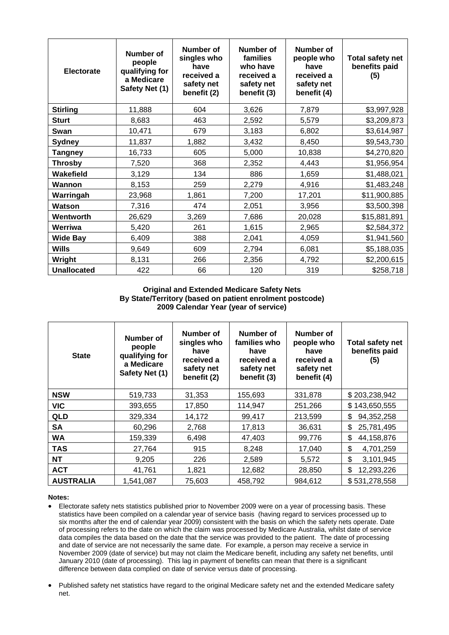| <b>Electorate</b>  | <b>Number of</b><br>people<br>qualifying for<br>a Medicare<br>Safety Net (1) | <b>Number of</b><br>singles who<br>have<br>received a<br>safety net<br>benefit (2) | <b>Number of</b><br>families<br>who have<br>received a<br>safety net<br>benefit (3) | <b>Number of</b><br>people who<br>have<br>received a<br>safety net<br>benefit (4) | <b>Total safety net</b><br>benefits paid<br>(5) |
|--------------------|------------------------------------------------------------------------------|------------------------------------------------------------------------------------|-------------------------------------------------------------------------------------|-----------------------------------------------------------------------------------|-------------------------------------------------|
| <b>Stirling</b>    | 11,888                                                                       | 604                                                                                | 3,626                                                                               | 7,879                                                                             | \$3,997,928                                     |
| <b>Sturt</b>       | 8,683                                                                        | 463                                                                                | 2,592                                                                               | 5,579                                                                             | \$3,209,873                                     |
| Swan               | 10,471                                                                       | 679                                                                                | 3,183                                                                               | 6,802                                                                             | \$3,614,987                                     |
| <b>Sydney</b>      | 11,837                                                                       | 1,882                                                                              | 3,432                                                                               | 8,450                                                                             | \$9,543,730                                     |
| <b>Tangney</b>     | 16,733                                                                       | 605                                                                                | 5,000                                                                               | 10,838                                                                            | \$4,270,820                                     |
| <b>Throsby</b>     | 7,520                                                                        | 368                                                                                | 2,352                                                                               | 4,443                                                                             | \$1,956,954                                     |
| Wakefield          | 3,129                                                                        | 134                                                                                | 886                                                                                 | 1,659                                                                             | \$1,488,021                                     |
| Wannon             | 8,153                                                                        | 259                                                                                | 2,279                                                                               | 4,916                                                                             | \$1,483,248                                     |
| Warringah          | 23,968                                                                       | 1,861                                                                              | 7,200                                                                               | 17,201                                                                            | \$11,900,885                                    |
| Watson             | 7,316                                                                        | 474                                                                                | 2,051                                                                               | 3,956                                                                             | \$3,500,398                                     |
| Wentworth          | 26,629                                                                       | 3,269                                                                              | 7,686                                                                               | 20,028                                                                            | \$15,881,891                                    |
| Werriwa            | 5,420                                                                        | 261                                                                                | 1,615                                                                               | 2,965                                                                             | \$2,584,372                                     |
| <b>Wide Bay</b>    | 6,409                                                                        | 388                                                                                | 2,041                                                                               | 4,059                                                                             | \$1,941,560                                     |
| Wills              | 9,649                                                                        | 609                                                                                | 2,794                                                                               | 6,081                                                                             | \$5,188,035                                     |
| Wright             | 8,131                                                                        | 266                                                                                | 2,356                                                                               | 4,792                                                                             | \$2,200,615                                     |
| <b>Unallocated</b> | 422                                                                          | 66                                                                                 | 120                                                                                 | 319                                                                               | \$258,718                                       |

## **Original and Extended Medicare Safety Nets By State/Territory (based on patient enrolment postcode) 2009 Calendar Year (year of service)**

| <b>State</b>     | Number of<br>people<br>qualifying for<br>a Medicare<br>Safety Net (1) | Number of<br>singles who<br>have<br>received a<br>safety net<br>benefit (2) | Number of<br>families who<br>have<br>received a<br>safety net<br>benefit (3) | Number of<br>people who<br>have<br>received a<br>safety net<br>benefit (4) | <b>Total safety net</b><br>benefits paid<br>(5) |
|------------------|-----------------------------------------------------------------------|-----------------------------------------------------------------------------|------------------------------------------------------------------------------|----------------------------------------------------------------------------|-------------------------------------------------|
| <b>NSW</b>       | 519,733                                                               | 31,353                                                                      | 155,693                                                                      | 331,878                                                                    | \$203,238,942                                   |
| <b>VIC</b>       | 393,655                                                               | 17,850                                                                      | 114,947                                                                      | 251,266                                                                    | \$143,650,555                                   |
| QLD              | 329,334                                                               | 14,172                                                                      | 99,417                                                                       | 213,599                                                                    | \$<br>94,352,258                                |
| <b>SA</b>        | 60,296                                                                | 2,768                                                                       | 17,813                                                                       | 36,631                                                                     | \$<br>25,781,495                                |
| <b>WA</b>        | 159,339                                                               | 6,498                                                                       | 47,403                                                                       | 99,776                                                                     | \$<br>44,158,876                                |
| <b>TAS</b>       | 27,764                                                                | 915                                                                         | 8,248                                                                        | 17,040                                                                     | \$<br>4,701,259                                 |
| <b>NT</b>        | 9,205                                                                 | 226                                                                         | 2,589                                                                        | 5,572                                                                      | \$<br>3,101,945                                 |
| <b>ACT</b>       | 41,761                                                                | 1,821                                                                       | 12,682                                                                       | 28,850                                                                     | \$<br>12,293,226                                |
| <b>AUSTRALIA</b> | 1,541,087                                                             | 75,603                                                                      | 458,792                                                                      | 984,612                                                                    | \$531,278,558                                   |

## **Notes:**

- Electorate safety nets statistics published prior to November 2009 were on a year of processing basis. These statistics have been compiled on a calendar year of service basis (having regard to services processed up to six months after the end of calendar year 2009) consistent with the basis on which the safety nets operate. Date of processing refers to the date on which the claim was processed by Medicare Australia, whilst date of service data compiles the data based on the date that the service was provided to the patient. The date of processing and date of service are not necessarily the same date. For example, a person may receive a service in November 2009 (date of service) but may not claim the Medicare benefit, including any safety net benefits, until January 2010 (date of processing). This lag in payment of benefits can mean that there is a significant difference between data complied on date of service versus date of processing.
- Published safety net statistics have regard to the original Medicare safety net and the extended Medicare safety net.